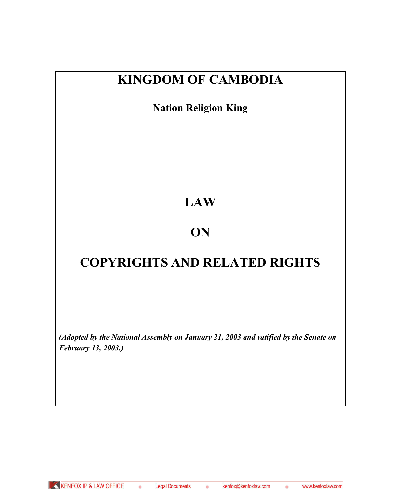# **KINGDOM OF CAMBODIA**

**Nation Religion King**

# **LAW**

# **ON**

# **COPYRIGHTS AND RELATED RIGHTS**

*(Adopted by the National Assembly on January 21, 2003 and ratified by the Senate on February 13, 2003.)*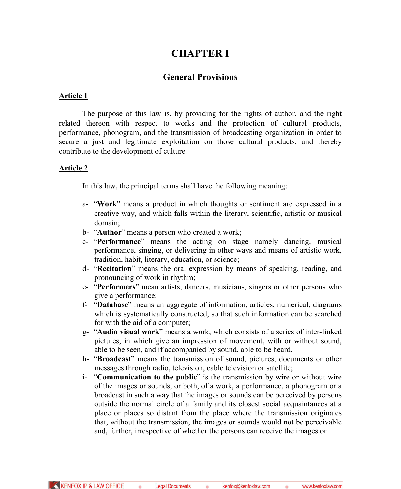# **CHAPTER I**

# **General Provisions**

### **Article 1**

The purpose of this law is, by providing for the rights of author, and the right related thereon with respect to works and the protection of cultural products, performance, phonogram, and the transmission of broadcasting organization in order to secure a just and legitimate exploitation on those cultural products, and thereby contribute to the development of culture.

### **Article 2**

In this law, the principal terms shall have the following meaning:

- a- "**Work**" means a product in which thoughts or sentiment are expressed in a creative way, and which falls within the literary, scientific, artistic or musical domain;
- b- "**Author**" means a person who created a work;
- c- "**Performance**" means the acting on stage namely dancing, musical performance, singing, or delivering in other ways and means of artistic work, tradition, habit, literary, education, or science;
- d- "**Recitation**" means the oral expression by means of speaking, reading, and pronouncing of work in rhythm;
- e- "**Performers**" mean artists, dancers, musicians, singers or other persons who give a performance;
- f- "**Database**" means an aggregate of information, articles, numerical, diagrams which is systematically constructed, so that such information can be searched for with the aid of a computer;
- g- "**Audio visual work**" means a work, which consists of a series of inter-linked pictures, in which give an impression of movement, with or without sound, able to be seen, and if accompanied by sound, able to be heard.
- h- "**Broadcast**" means the transmission of sound, pictures, documents or other messages through radio, television, cable television or satellite;
- i- "**Communication to the public**" is the transmission by wire or without wire of the images or sounds, or both, of a work, a performance, a phonogram or a broadcast in such a way that the images or sounds can be perceived by persons outside the normal circle of a family and its closest social acquaintances at a place or places so distant from the place where the transmission originates that, without the transmission, the images or sounds would not be perceivable and, further, irrespective of whether the persons can receive the images or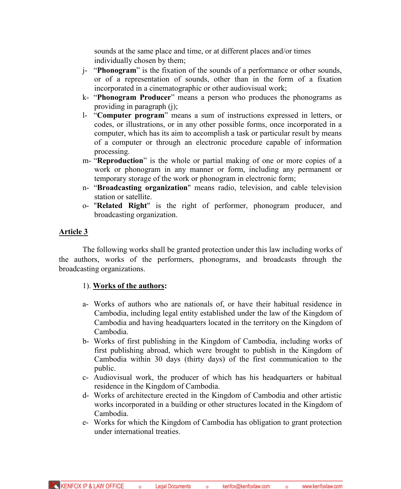sounds at the same place and time, or at different places and/or times individually chosen by them;

- j- "**Phonogram**" is the fixation of the sounds of a performance or other sounds, or of a representation of sounds, other than in the form of a fixation incorporated in a cinematographic or other audiovisual work;
- k- "**Phonogram Producer**" means a person who produces the phonograms as providing in paragraph (j);
- l- "**Computer program**" means a sum of instructions expressed in letters, or codes, or illustrations, or in any other possible forms, once incorporated in a computer, which has its aim to accomplish a task or particular result by means of a computer or through an electronic procedure capable of information processing.
- m- "**Reproduction**" is the whole or partial making of one or more copies of a work or phonogram in any manner or form, including any permanent or temporary storage of the work or phonogram in electronic form;
- n- "**Broadcasting organization**" means radio, television, and cable television station or satellite.
- o- "**Related Right**" is the right of performer, phonogram producer, and broadcasting organization.

# **Article 3**

The following works shall be granted protection under this law including works of the authors, works of the performers, phonograms, and broadcasts through the broadcasting organizations.

# 1). **Works of the authors:**

- a- Works of authors who are nationals of, or have their habitual residence in Cambodia, including legal entity established under the law of the Kingdom of Cambodia and having headquarters located in the territory on the Kingdom of Cambodia.
- b- Works of first publishing in the Kingdom of Cambodia, including works of first publishing abroad, which were brought to publish in the Kingdom of Cambodia within 30 days (thirty days) of the first communication to the public.
- c- Audiovisual work, the producer of which has his headquarters or habitual residence in the Kingdom of Cambodia.
- d- Works of architecture erected in the Kingdom of Cambodia and other artistic works incorporated in a building or other structures located in the Kingdom of Cambodia.
- e- Works for which the Kingdom of Cambodia has obligation to grant protection under international treaties.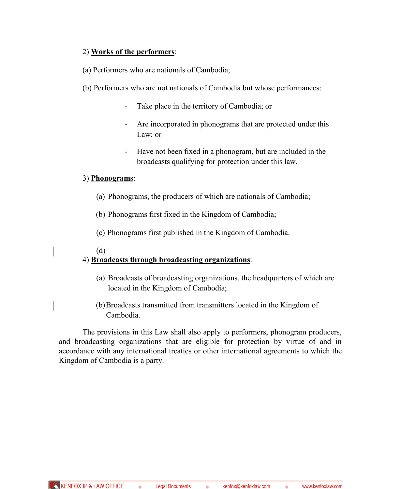# 2) **Works of the performers**:

(a) Performers who are nationals of Cambodia;

- (b) Performers who are not nationals of Cambodia but whose performances:
	- Take place in the territory of Cambodia; or
	- Are incorporated in phonograms that are protected under this Law; or
	- Have not been fixed in a phonogram, but are included in the broadcasts qualifying for protection under this law.

# 3) **Phonograms**:

- (a) Phonograms, the producers of which are nationals of Cambodia;
- (b) Phonograms first fixed in the Kingdom of Cambodia;
- (c) Phonograms first published in the Kingdom of Cambodia.

# (d)

# 4) **Broadcasts through broadcasting organizations**:

- (a) Broadcasts of broadcasting organizations, the headquarters of which are located in the Kingdom of Cambodia;
- (b)Broadcasts transmitted from transmitters located in the Kingdom of Cambodia.

The provisions in this Law shall also apply to performers, phonogram producers, and broadcasting organizations that are eligible for protection by virtue of and in accordance with any international treaties or other international agreements to which the Kingdom of Cambodia is a party.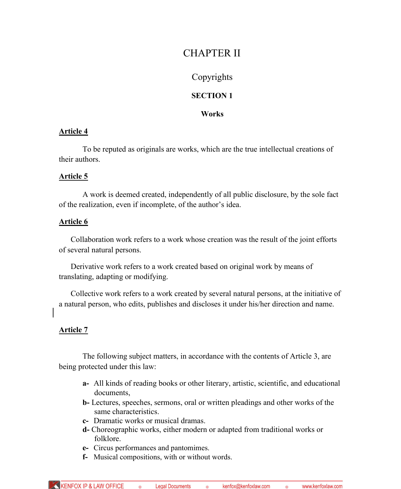# CHAPTER II

# Copyrights

# **SECTION 1**

# **Works**

# **Article 4**

To be reputed as originals are works, which are the true intellectual creations of their authors.

# **Article 5**

A work is deemed created, independently of all public disclosure, by the sole fact of the realization, even if incomplete, of the author's idea.

# **Article 6**

Collaboration work refers to a work whose creation was the result of the joint efforts of several natural persons.

Derivative work refers to a work created based on original work by means of translating, adapting or modifying.

Collective work refers to a work created by several natural persons, at the initiative of a natural person, who edits, publishes and discloses it under his/her direction and name.

# **Article 7**

The following subject matters, in accordance with the contents of Article 3, are being protected under this law:

- **a-** All kinds of reading books or other literary, artistic, scientific, and educational documents,
- **b-** Lectures, speeches, sermons, oral or written pleadings and other works of the same characteristics.
- **c-** Dramatic works or musical dramas.
- **d-** Choreographic works, either modern or adapted from traditional works or folklore.
- **e-** Circus performances and pantomimes.
- **f-** Musical compositions, with or without words.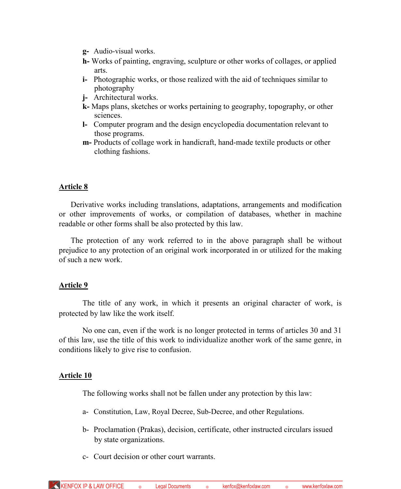- **g-** Audio-visual works.
- **h-** Works of painting, engraving, sculpture or other works of collages, or applied arts.
- **i-** Photographic works, or those realized with the aid of techniques similar to photography
- **j-** Architectural works.
- **k-** Maps plans, sketches or works pertaining to geography, topography, or other sciences.
- **l-** Computer program and the design encyclopedia documentation relevant to those programs.
- **m-** Products of collage work in handicraft, hand-made textile products or other clothing fashions.

# **Article 8**

Derivative works including translations, adaptations, arrangements and modification or other improvements of works, or compilation of databases, whether in machine readable or other forms shall be also protected by this law.

The protection of any work referred to in the above paragraph shall be without prejudice to any protection of an original work incorporated in or utilized for the making of such a new work.

# **Article 9**

The title of any work, in which it presents an original character of work, is protected by law like the work itself.

No one can, even if the work is no longer protected in terms of articles 30 and 31 of this law, use the title of this work to individualize another work of the same genre, in conditions likely to give rise to confusion.

# **Article 10**

The following works shall not be fallen under any protection by this law:

- a- Constitution, Law, Royal Decree, Sub-Decree, and other Regulations.
- b- Proclamation (Prakas), decision, certificate, other instructed circulars issued by state organizations.
- c- Court decision or other court warrants.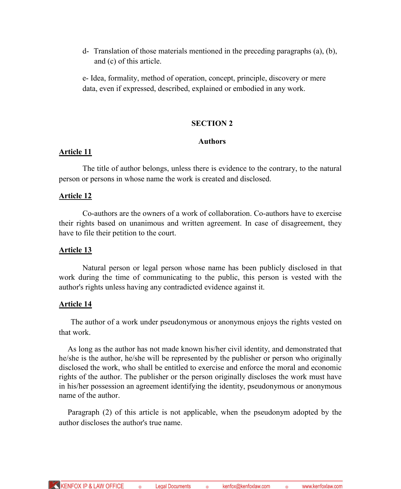d- Translation of those materials mentioned in the preceding paragraphs (a), (b), and (c) of this article.

e- Idea, formality, method of operation, concept, principle, discovery or mere data, even if expressed, described, explained or embodied in any work.

### **SECTION 2**

### **Authors**

### **Article 11**

The title of author belongs, unless there is evidence to the contrary, to the natural person or persons in whose name the work is created and disclosed.

### **Article 12**

Co-authors are the owners of a work of collaboration. Co-authors have to exercise their rights based on unanimous and written agreement. In case of disagreement, they have to file their petition to the court.

### **Article 13**

Natural person or legal person whose name has been publicly disclosed in that work during the time of communicating to the public, this person is vested with the author's rights unless having any contradicted evidence against it.

# **Article 14**

The author of a work under pseudonymous or anonymous enjoys the rights vested on that work.

As long as the author has not made known his/her civil identity, and demonstrated that he/she is the author, he/she will be represented by the publisher or person who originally disclosed the work, who shall be entitled to exercise and enforce the moral and economic rights of the author. The publisher or the person originally discloses the work must have in his/her possession an agreement identifying the identity, pseudonymous or anonymous name of the author.

Paragraph (2) of this article is not applicable, when the pseudonym adopted by the author discloses the author's true name.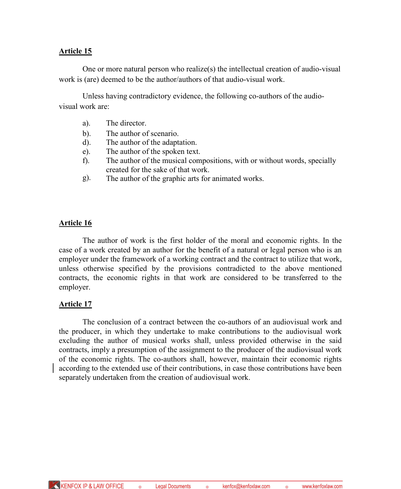# **Article 15**

One or more natural person who realize(s) the intellectual creation of audio-visual work is (are) deemed to be the author/authors of that audio-visual work.

Unless having contradictory evidence, the following co-authors of the audiovisual work are:

- a). The director.
- b). The author of scenario.
- d). The author of the adaptation.
- e). The author of the spoken text.
- f). The author of the musical compositions, with or without words, specially created for the sake of that work.
- g). The author of the graphic arts for animated works.

### **Article 16**

The author of work is the first holder of the moral and economic rights. In the case of a work created by an author for the benefit of a natural or legal person who is an employer under the framework of a working contract and the contract to utilize that work, unless otherwise specified by the provisions contradicted to the above mentioned contracts, the economic rights in that work are considered to be transferred to the employer.

### **Article 17**

The conclusion of a contract between the co-authors of an audiovisual work and the producer, in which they undertake to make contributions to the audiovisual work excluding the author of musical works shall, unless provided otherwise in the said contracts, imply a presumption of the assignment to the producer of the audiovisual work of the economic rights. The co-authors shall, however, maintain their economic rights according to the extended use of their contributions, in case those contributions have been separately undertaken from the creation of audiovisual work.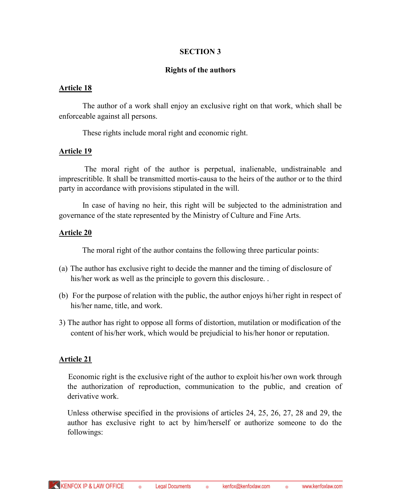# **SECTION 3**

### **Rights of the authors**

### **Article 18**

The author of a work shall enjoy an exclusive right on that work, which shall be enforceable against all persons.

These rights include moral right and economic right.

### **Article 19**

The moral right of the author is perpetual, inalienable, undistrainable and imprescritible. It shall be transmitted mortis-causa to the heirs of the author or to the third party in accordance with provisions stipulated in the will.

In case of having no heir, this right will be subjected to the administration and governance of the state represented by the Ministry of Culture and Fine Arts.

### **Article 20**

The moral right of the author contains the following three particular points:

- (a) The author has exclusive right to decide the manner and the timing of disclosure of his/her work as well as the principle to govern this disclosure...
- (b) For the purpose of relation with the public, the author enjoys hi/her right in respect of his/her name, title, and work.
- 3) The author has right to oppose all forms of distortion, mutilation or modification of the content of his/her work, which would be prejudicial to his/her honor or reputation.

# **Article 21**

Economic right is the exclusive right of the author to exploit his/her own work through the authorization of reproduction, communication to the public, and creation of derivative work.

Unless otherwise specified in the provisions of articles 24, 25, 26, 27, 28 and 29, the author has exclusive right to act by him/herself or authorize someone to do the followings: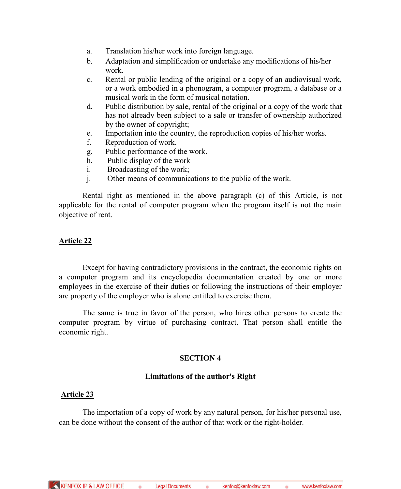- a. Translation his/her work into foreign language.
- b. Adaptation and simplification or undertake any modifications of his/her work.
- c. Rental or public lending of the original or a copy of an audiovisual work, or a work embodied in a phonogram, a computer program, a database or a musical work in the form of musical notation.
- d. Public distribution by sale, rental of the original or a copy of the work that has not already been subject to a sale or transfer of ownership authorized by the owner of copyright;
- e. Importation into the country, the reproduction copies of his/her works.
- f. Reproduction of work.
- g. Public performance of the work.
- h. Public display of the work
- i. Broadcasting of the work;
- j. Other means of communications to the public of the work.

Rental right as mentioned in the above paragraph (c) of this Article, is not applicable for the rental of computer program when the program itself is not the main objective of rent.

### **Article 22**

Except for having contradictory provisions in the contract, the economic rights on a computer program and its encyclopedia documentation created by one or more employees in the exercise of their duties or following the instructions of their employer are property of the employer who is alone entitled to exercise them.

The same is true in favor of the person, who hires other persons to create the computer program by virtue of purchasing contract. That person shall entitle the economic right.

# **SECTION 4**

### **Limitations of the author's Right**

# **Article 23**

The importation of a copy of work by any natural person, for his/her personal use, can be done without the consent of the author of that work or the right-holder.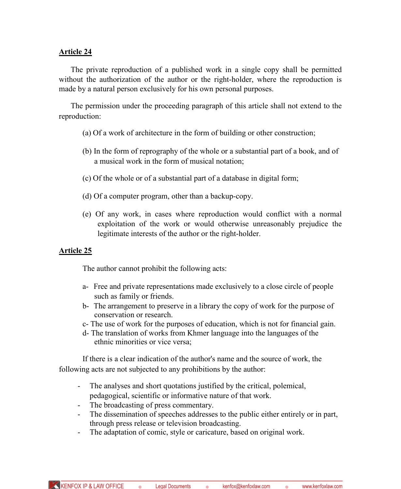# **Article 24**

The private reproduction of a published work in a single copy shall be permitted without the authorization of the author or the right-holder, where the reproduction is made by a natural person exclusively for his own personal purposes.

The permission under the proceeding paragraph of this article shall not extend to the reproduction:

- (a) Of a work of architecture in the form of building or other construction;
- (b) In the form of reprography of the whole or a substantial part of a book, and of a musical work in the form of musical notation;
- (c) Of the whole or of a substantial part of a database in digital form;
- (d) Of a computer program, other than a backup-copy.
- (e) Of any work, in cases where reproduction would conflict with a normal exploitation of the work or would otherwise unreasonably prejudice the legitimate interests of the author or the right-holder.

### **Article 25**

The author cannot prohibit the following acts:

- a- Free and private representations made exclusively to a close circle of people such as family or friends.
- b- The arrangement to preserve in a library the copy of work for the purpose of conservation or research.
- c- The use of work for the purposes of education, which is not for financial gain.
- d- The translation of works from Khmer language into the languages of the ethnic minorities or vice versa;

If there is a clear indication of the author's name and the source of work, the following acts are not subjected to any prohibitions by the author:

- The analyses and short quotations justified by the critical, polemical, pedagogical, scientific or informative nature of that work.
- 
- The broadcasting of press commentary.<br>- The dissemination of speeches addresse The dissemination of speeches addresses to the public either entirely or in part, through press release or television broadcasting.
- The adaptation of comic, style or caricature, based on original work.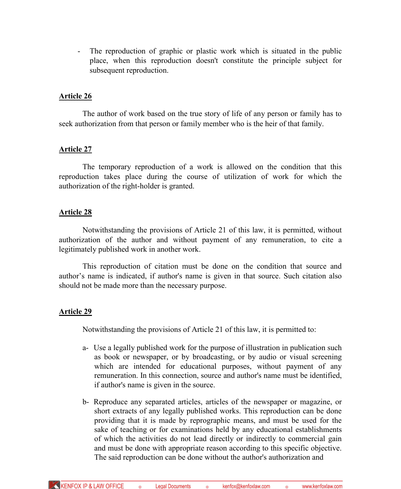- The reproduction of graphic or plastic work which is situated in the public place, when this reproduction doesn't constitute the principle subject for subsequent reproduction.

### **Article 26**

The author of work based on the true story of life of any person or family has to seek authorization from that person or family member who is the heir of that family.

### **Article 27**

The temporary reproduction of a work is allowed on the condition that this reproduction takes place during the course of utilization of work for which the authorization of the right-holder is granted.

### **Article 28**

Notwithstanding the provisions of Article 21 of this law, it is permitted, without authorization of the author and without payment of any remuneration, to cite a legitimately published work in another work.

This reproduction of citation must be done on the condition that source and author's name is indicated, if author's name is given in that source. Such citation also should not be made more than the necessary purpose.

### **Article 29**

Notwithstanding the provisions of Article 21 of this law, it is permitted to:

- a- Use a legally published work for the purpose of illustration in publication such as book or newspaper, or by broadcasting, or by audio or visual screening which are intended for educational purposes, without payment of any remuneration. In this connection, source and author's name must be identified, if author's name is given in the source.
- b- Reproduce any separated articles, articles of the newspaper or magazine, or short extracts of any legally published works. This reproduction can be done providing that it is made by reprographic means, and must be used for the sake of teaching or for examinations held by any educational establishments of which the activities do not lead directly or indirectly to commercial gain and must be done with appropriate reason according to this specific objective. The said reproduction can be done without the author's authorization and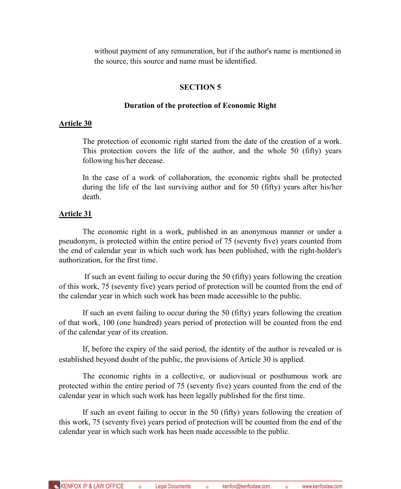without payment of any remuneration, but if the author's name is mentioned in the source, this source and name must be identified.

### **SECTION 5**

### **Duration of the protection of Economic Right**

### **Article 30**

The protection of economic right started from the date of the creation of a work. This protection covers the life of the author, and the whole 50 (fifty) years following his/her decease.

In the case of a work of collaboration, the economic rights shall be protected during the life of the last surviving author and for 50 (fifty) years after his/her death.

### **Article 31**

The economic right in a work, published in an anonymous manner or under a pseudonym, is protected within the entire period of 75 (seventy five) years counted from the end of calendar year in which such work has been published, with the right-holder's authorization, for the first time.

If such an event failing to occur during the 50 (fifty) years following the creation of this work, 75 (seventy five) years period of protection will be counted from the end of the calendar year in which such work has been made accessible to the public.

If such an event failing to occur during the 50 (fifty) years following the creation of that work, 100 (one hundred) years period of protection will be counted from the end of the calendar year of its creation.

If, before the expiry of the said period, the identity of the author is revealed or is established beyond doubt of the public, the provisions of Article 30 is applied.

The economic rights in a collective, or audiovisual or posthumous work are protected within the entire period of 75 (seventy five) years counted from the end of the calendar year in which such work has been legally published for the first time.

If such an event failing to occur in the 50 (fifty) years following the creation of this work, 75 (seventy five) years period of protection will be counted from the end of the calendar year in which such work has been made accessible to the public.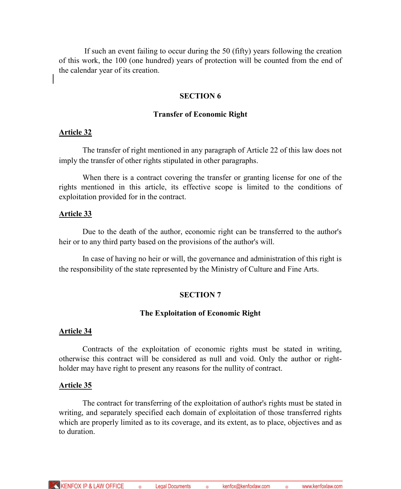If such an event failing to occur during the 50 (fifty) years following the creation of this work, the 100 (one hundred) years of protection will be counted from the end of the calendar year of its creation.

### **SECTION 6**

### **Transfer of Economic Right**

### **Article 32**

The transfer of right mentioned in any paragraph of Article 22 of this law does not imply the transfer of other rights stipulated in other paragraphs.

When there is a contract covering the transfer or granting license for one of the rights mentioned in this article, its effective scope is limited to the conditions of exploitation provided for in the contract.

### **Article 33**

Due to the death of the author, economic right can be transferred to the author's heir or to any third party based on the provisions of the author's will.

In case of having no heir or will, the governance and administration of this right is the responsibility of the state represented by the Ministry of Culture and Fine Arts.

### **SECTION 7**

### **The Exploitation of Economic Right**

### **Article 34**

Contracts of the exploitation of economic rights must be stated in writing, otherwise this contract will be considered as null and void. Only the author or rightholder may have right to present any reasons for the nullity of contract.

### **Article 35**

The contract for transferring of the exploitation of author's rights must be stated in writing, and separately specified each domain of exploitation of those transferred rights which are properly limited as to its coverage, and its extent, as to place, objectives and as to duration.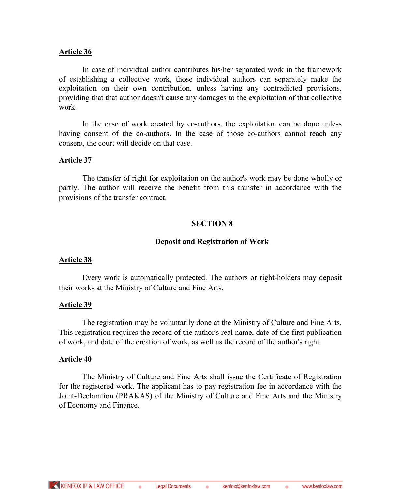### **Article 36**

In case of individual author contributes his/her separated work in the framework of establishing a collective work, those individual authors can separately make the exploitation on their own contribution, unless having any contradicted provisions, providing that that author doesn't cause any damages to the exploitation of that collective work.

In the case of work created by co-authors, the exploitation can be done unless having consent of the co-authors. In the case of those co-authors cannot reach any consent, the court will decide on that case.

### **Article 37**

The transfer of right for exploitation on the author's work may be done wholly or partly. The author will receive the benefit from this transfer in accordance with the provisions of the transfer contract.

### **SECTION 8**

### **Deposit and Registration of Work**

### **Article 38**

Every work is automatically protected. The authors or right-holders may deposit their works at the Ministry of Culture and Fine Arts.

# **Article 39**

The registration may be voluntarily done at the Ministry of Culture and Fine Arts. This registration requires the record of the author's real name, date of the first publication of work, and date of the creation of work, as well as the record of the author's right.

### **Article 40**

The Ministry of Culture and Fine Arts shall issue the Certificate of Registration for the registered work. The applicant has to pay registration fee in accordance with the Joint-Declaration (PRAKAS) of the Ministry of Culture and Fine Arts and the Ministry of Economy and Finance.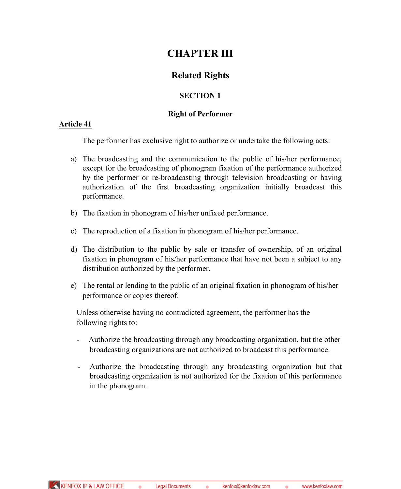# **CHAPTER III**

# **Related Rights**

# **SECTION 1**

# **Right of Performer**

### **Article 41**

The performer has exclusive right to authorize or undertake the following acts:

- a) The broadcasting and the communication to the public of his/her performance, except for the broadcasting of phonogram fixation of the performance authorized by the performer or re-broadcasting through television broadcasting or having authorization of the first broadcasting organization initially broadcast this performance.
- b) The fixation in phonogram of his/her unfixed performance.
- c) The reproduction of a fixation in phonogram of his/her performance.
- d) The distribution to the public by sale or transfer of ownership, of an original fixation in phonogram of his/her performance that have not been a subject to any distribution authorized by the performer.
- e) The rental or lending to the public of an original fixation in phonogram of his/her performance or copies thereof.

Unless otherwise having no contradicted agreement, the performer has the following rights to:

- Authorize the broadcasting through any broadcasting organization, but the other broadcasting organizations are not authorized to broadcast this performance.
- Authorize the broadcasting through any broadcasting organization but that broadcasting organization is not authorized for the fixation of this performance in the phonogram.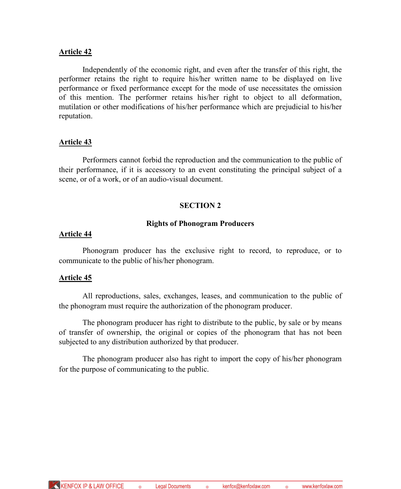### **Article 42**

Independently of the economic right, and even after the transfer of this right, the performer retains the right to require his/her written name to be displayed on live performance or fixed performance except for the mode of use necessitates the omission of this mention. The performer retains his/her right to object to all deformation, mutilation or other modifications of his/her performance which are prejudicial to his/her reputation.

### **Article 43**

Performers cannot forbid the reproduction and the communication to the public of their performance, if it is accessory to an event constituting the principal subject of a scene, or of a work, or of an audio-visual document.

### **SECTION 2**

### **Rights of Phonogram Producers**

### **Article 44**

Phonogram producer has the exclusive right to record, to reproduce, or to communicate to the public of his/her phonogram.

### **Article 45**

All reproductions, sales, exchanges, leases, and communication to the public of the phonogram must require the authorization of the phonogram producer.

The phonogram producer has right to distribute to the public, by sale or by means of transfer of ownership, the original or copies of the phonogram that has not been subjected to any distribution authorized by that producer.

The phonogram producer also has right to import the copy of his/her phonogram for the purpose of communicating to the public.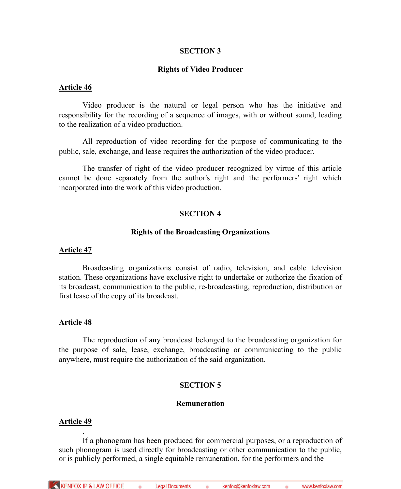### **SECTION 3**

### **Rights of Video Producer**

### **Article 46**

Video producer is the natural or legal person who has the initiative and responsibility for the recording of a sequence of images, with or without sound, leading to the realization of a video production.

All reproduction of video recording for the purpose of communicating to the public, sale, exchange, and lease requires the authorization of the video producer.

The transfer of right of the video producer recognized by virtue of this article cannot be done separately from the author's right and the performers' right which incorporated into the work of this video production.

### **SECTION 4**

### **Rights of the Broadcasting Organizations**

### **Article 47**

Broadcasting organizations consist of radio, television, and cable television station. These organizations have exclusive right to undertake or authorize the fixation of its broadcast, communication to the public, re-broadcasting, reproduction, distribution or first lease of the copy of its broadcast.

### **Article 48**

The reproduction of any broadcast belonged to the broadcasting organization for the purpose of sale, lease, exchange, broadcasting or communicating to the public anywhere, must require the authorization of the said organization.

# **SECTION 5**

### **Remuneration**

### **Article 49**

.

If a phonogram has been produced for commercial purposes, or a reproduction of such phonogram is used directly for broadcasting or other communication to the public, or is publicly performed, a single equitable remuneration, for the performers and the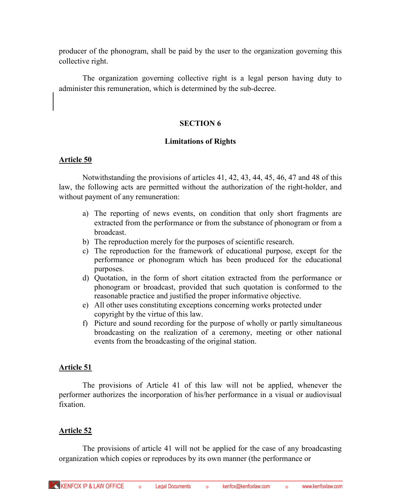producer of the phonogram, shall be paid by the user to the organization governing this collective right.

The organization governing collective right is a legal person having duty to administer this remuneration, which is determined by the sub-decree.

### **SECTION 6**

### **Limitations of Rights**

### **Article 50**

Notwithstanding the provisions of articles 41, 42, 43, 44, 45, 46, 47 and 48 of this law, the following acts are permitted without the authorization of the right-holder, and without payment of any remuneration:

- a) The reporting of news events, on condition that only short fragments are extracted from the performance or from the substance of phonogram or from a broadcast.
- b) The reproduction merely for the purposes of scientific research.
- c) The reproduction for the framework of educational purpose, except for the performance or phonogram which has been produced for the educational purposes.
- d) Quotation, in the form of short citation extracted from the performance or phonogram or broadcast, provided that such quotation is conformed to the reasonable practice and justified the proper informative objective.
- e) All other uses constituting exceptions concerning works protected under copyright by the virtue of this law.
- f) Picture and sound recording for the purpose of wholly or partly simultaneous broadcasting on the realization of a ceremony, meeting or other national events from the broadcasting of the original station.

# **Article 51**

The provisions of Article 41 of this law will not be applied, whenever the performer authorizes the incorporation of his/her performance in a visual or audiovisual fixation.

# **Article 52**

The provisions of article 41 will not be applied for the case of any broadcasting organization which copies or reproduces by its own manner (the performance or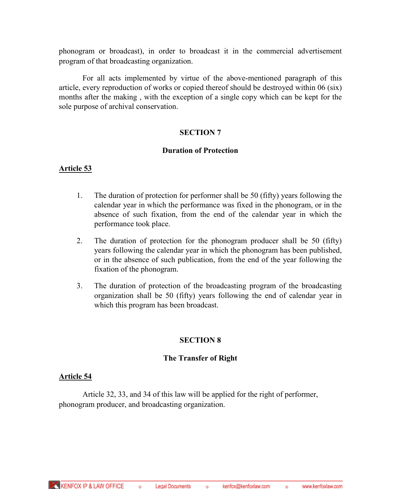phonogram or broadcast), in order to broadcast it in the commercial advertisement program of that broadcasting organization.

For all acts implemented by virtue of the above-mentioned paragraph of this article, every reproduction of works or copied thereof should be destroyed within 06 (six) months after the making , with the exception of a single copy which can be kept for the sole purpose of archival conservation.

# **SECTION 7**

### **Duration of Protection**

### **Article 53**

- 1. The duration of protection for performer shall be 50 (fifty) years following the calendar year in which the performance was fixed in the phonogram, or in the absence of such fixation, from the end of the calendar year in which the performance took place.
- 2. The duration of protection for the phonogram producer shall be 50 (fifty) years following the calendar year in which the phonogram has been published, or in the absence of such publication, from the end of the year following the fixation of the phonogram.
- 3. The duration of protection of the broadcasting program of the broadcasting organization shall be 50 (fifty) years following the end of calendar year in which this program has been broadcast.

# **SECTION 8**

# **The Transfer of Right**

### **Article 54**

Article 32, 33, and 34 of this law will be applied for the right of performer, phonogram producer, and broadcasting organization.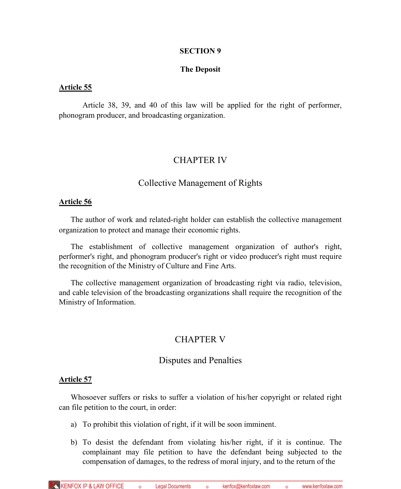### **SECTION 9**

### **The Deposit**

#### **Article 55**

Article 38, 39, and 40 of this law will be applied for the right of performer, phonogram producer, and broadcasting organization.

# CHAPTER IV

# Collective Management of Rights

#### **Article 56**

The author of work and related-right holder can establish the collective management organization to protect and manage their economic rights.

The establishment of collective management organization of author's right, performer's right, and phonogram producer's right or video producer's right must require the recognition of the Ministry of Culture and Fine Arts.

The collective management organization of broadcasting right via radio, television, and cable television of the broadcasting organizations shall require the recognition of the Ministry of Information.

# CHAPTER V

### Disputes and Penalties

### **Article 57**

Whosoever suffers or risks to suffer a violation of his/her copyright or related right can file petition to the court, in order:

- a) To prohibit this violation of right, if it will be soon imminent.
- b) To desist the defendant from violating his/her right, if it is continue. The complainant may file petition to have the defendant being subjected to the compensation of damages, to the redress of moral injury, and to the return of the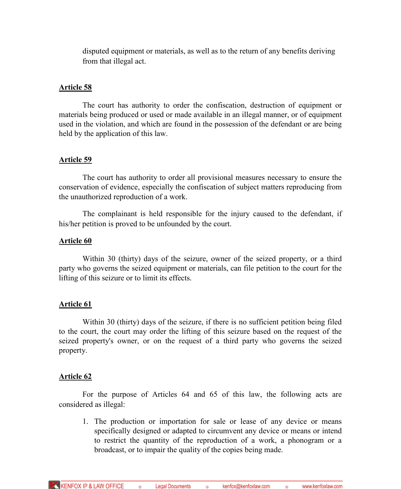disputed equipment or materials, as well as to the return of any benefits deriving from that illegal act.

### **Article 58**

The court has authority to order the confiscation, destruction of equipment or materials being produced or used or made available in an illegal manner, or of equipment used in the violation, and which are found in the possession of the defendant or are being held by the application of this law.

### **Article 59**

The court has authority to order all provisional measures necessary to ensure the conservation of evidence, especially the confiscation of subject matters reproducing from the unauthorized reproduction of a work.

The complainant is held responsible for the injury caused to the defendant, if his/her petition is proved to be unfounded by the court.

### **Article 60**

Within 30 (thirty) days of the seizure, owner of the seized property, or a third party who governs the seized equipment or materials, can file petition to the court for the lifting of this seizure or to limit its effects.

### **Article 61**

Within 30 (thirty) days of the seizure, if there is no sufficient petition being filed to the court, the court may order the lifting of this seizure based on the request of the seized property's owner, or on the request of a third party who governs the seized property.

### **Article 62**

For the purpose of Articles 64 and 65 of this law, the following acts are considered as illegal:

1. The production or importation for sale or lease of any device or means specifically designed or adapted to circumvent any device or means or intend to restrict the quantity of the reproduction of a work, a phonogram or a broadcast, or to impair the quality of the copies being made.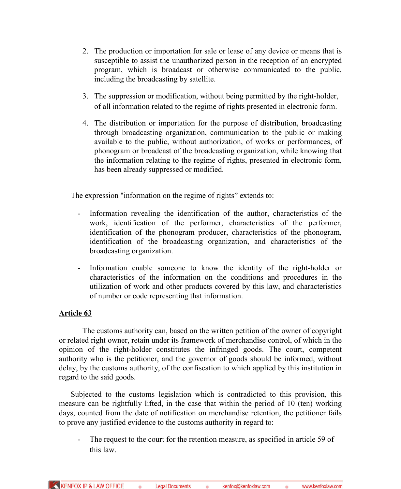- 2. The production or importation for sale or lease of any device or means that is susceptible to assist the unauthorized person in the reception of an encrypted program, which is broadcast or otherwise communicated to the public, including the broadcasting by satellite.
- 3. The suppression or modification, without being permitted by the right-holder, of all information related to the regime of rights presented in electronic form.
- 4. The distribution or importation for the purpose of distribution, broadcasting through broadcasting organization, communication to the public or making available to the public, without authorization, of works or performances, of phonogram or broadcast of the broadcasting organization, while knowing that the information relating to the regime of rights, presented in electronic form, has been already suppressed or modified.

The expression "information on the regime of rights" extends to:

- Information revealing the identification of the author, characteristics of the work, identification of the performer, characteristics of the performer, identification of the phonogram producer, characteristics of the phonogram, identification of the broadcasting organization, and characteristics of the broadcasting organization.
- Information enable someone to know the identity of the right-holder or characteristics of the information on the conditions and procedures in the utilization of work and other products covered by this law, and characteristics of number or code representing that information.

# **Article 63**

The customs authority can, based on the written petition of the owner of copyright or related right owner, retain under its framework of merchandise control, of which in the opinion of the right-holder constitutes the infringed goods. The court, competent authority who is the petitioner, and the governor of goods should be informed, without delay, by the customs authority, of the confiscation to which applied by this institution in regard to the said goods.

Subjected to the customs legislation which is contradicted to this provision, this measure can be rightfully lifted, in the case that within the period of 10 (ten) working days, counted from the date of notification on merchandise retention, the petitioner fails to prove any justified evidence to the customs authority in regard to:

- The request to the court for the retention measure, as specified in article 59 of this law.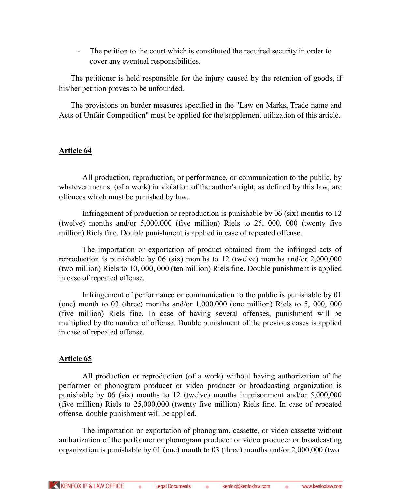- The petition to the court which is constituted the required security in order to cover any eventual responsibilities.

The petitioner is held responsible for the injury caused by the retention of goods, if his/her petition proves to be unfounded.

The provisions on border measures specified in the "Law on Marks, Trade name and Acts of Unfair Competition" must be applied for the supplement utilization of this article.

### **Article 64**

All production, reproduction, or performance, or communication to the public, by whatever means, (of a work) in violation of the author's right, as defined by this law, are offences which must be punished by law.

Infringement of production or reproduction is punishable by 06 (six) months to 12 (twelve) months and/or 5,000,000 (five million) Riels to 25, 000, 000 (twenty five million) Riels fine. Double punishment is applied in case of repeated offense.

The importation or exportation of product obtained from the infringed acts of reproduction is punishable by 06 (six) months to 12 (twelve) months and/or 2,000,000 (two million) Riels to 10, 000, 000 (ten million) Riels fine. Double punishment is applied in case of repeated offense.

Infringement of performance or communication to the public is punishable by 01 (one) month to 03 (three) months and/or 1,000,000 (one million) Riels to 5, 000, 000 (five million) Riels fine. In case of having several offenses, punishment will be multiplied by the number of offense. Double punishment of the previous cases is applied in case of repeated offense.

### **Article 65**

All production or reproduction (of a work) without having authorization of the performer or phonogram producer or video producer or broadcasting organization is punishable by 06 (six) months to 12 (twelve) months imprisonment and/or 5,000,000 (five million) Riels to 25,000,000 (twenty five million) Riels fine. In case of repeated offense, double punishment will be applied.

The importation or exportation of phonogram, cassette, or video cassette without authorization of the performer or phonogram producer or video producer or broadcasting organization is punishable by 01 (one) month to 03 (three) months and/or 2,000,000 (two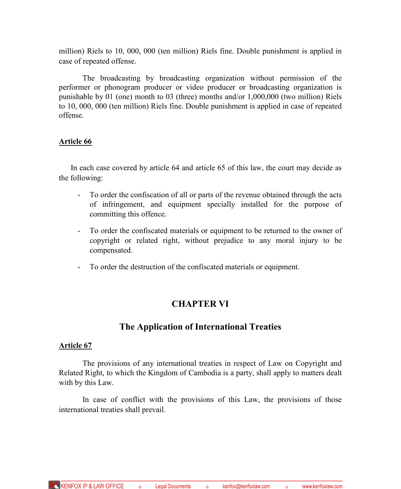million) Riels to 10, 000, 000 (ten million) Riels fine. Double punishment is applied in case of repeated offense.

The broadcasting by broadcasting organization without permission of the performer or phonogram producer or video producer or broadcasting organization is punishable by 01 (one) month to 03 (three) months and/or 1,000,000 (two million) Riels to 10, 000, 000 (ten million) Riels fine. Double punishment is applied in case of repeated offense.

### **Article 66**

In each case covered by article 64 and article 65 of this law, the court may decide as the following:

- To order the confiscation of all or parts of the revenue obtained through the acts of infringement, and equipment specially installed for the purpose of committing this offence.
- To order the confiscated materials or equipment to be returned to the owner of copyright or related right, without prejudice to any moral injury to be compensated.
- To order the destruction of the confiscated materials or equipment.

# **CHAPTER VI**

# **The Application of International Treaties**

### **Article 67**

The provisions of any international treaties in respect of Law on Copyright and Related Right, to which the Kingdom of Cambodia is a party, shall apply to matters dealt with by this Law.

In case of conflict with the provisions of this Law, the provisions of those international treaties shall prevail.